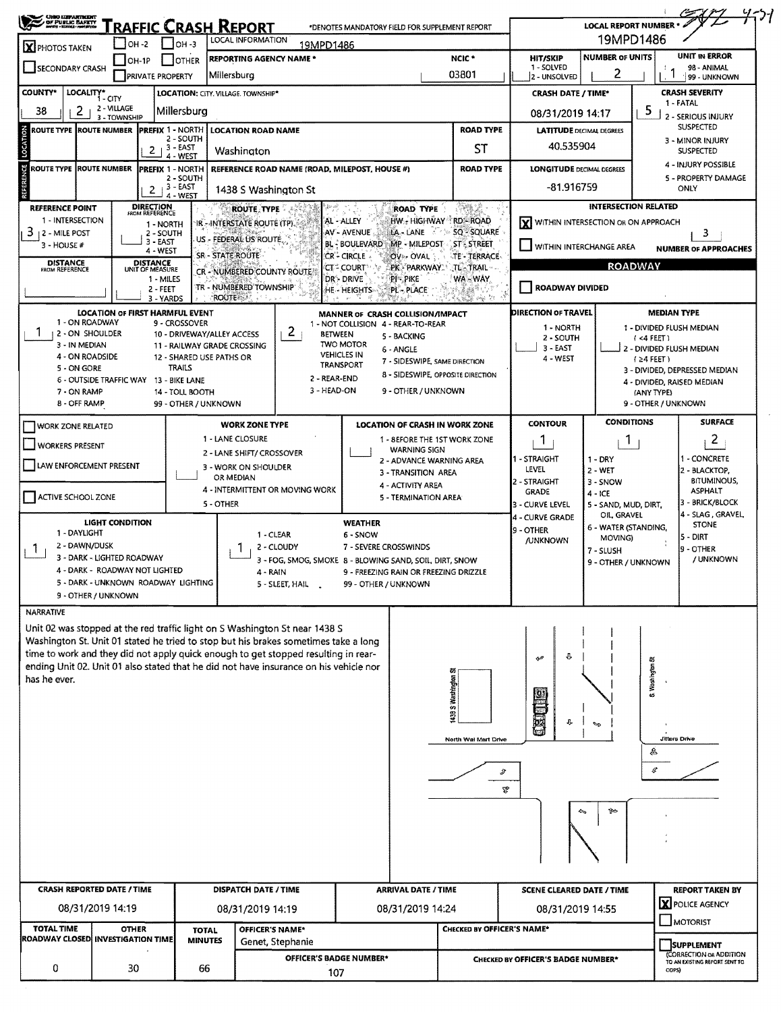| SAND LEPARTMENT                            |                                   |                 |                                                         |                                | <b>RAFFIC CRASH REPORT</b>                                                                                   |                                                                                                                                                                    |                            | *DENOTES MANDATORY FIELD FOR SUPPLEMENT REPORT                         |                                               |                                         | <b>LOCAL REPORT NUMBER * +</b>                                    |                       | 7)1                                                                           |  |  |
|--------------------------------------------|-----------------------------------|-----------------|---------------------------------------------------------|--------------------------------|--------------------------------------------------------------------------------------------------------------|--------------------------------------------------------------------------------------------------------------------------------------------------------------------|----------------------------|------------------------------------------------------------------------|-----------------------------------------------|-----------------------------------------|-------------------------------------------------------------------|-----------------------|-------------------------------------------------------------------------------|--|--|
|                                            |                                   | <b>1он -2</b>   |                                                         | Іон з                          | LOCAL INFORMATION                                                                                            | 19MPD1486                                                                                                                                                          |                            |                                                                        |                                               | 19MPD1486                               |                                                                   |                       |                                                                               |  |  |
| <b>X</b> PHOTOS TAKEN                      |                                   | $IOH-1P$        | <b>OTHER</b>                                            |                                | REPORTING AGENCY NAME *<br>NCIC <sup>*</sup>                                                                 |                                                                                                                                                                    |                            |                                                                        |                                               | <b>HIT/SKIP</b>                         | <b>NUMBER OF UNITS</b>                                            |                       | UNIT IN ERROR                                                                 |  |  |
| SECONDARY CRASH                            |                                   |                 | <b>PRIVATE PROPERTY</b>                                 |                                | Millersburg                                                                                                  | 03801                                                                                                                                                              |                            |                                                                        |                                               | 1 - SOLVED<br>2 - UNSOLVED              | 2                                                                 |                       | 98 - ANIMAL<br>99 - UNKNOWN                                                   |  |  |
| COUNTY*                                    | LOCALITY* CITY                    |                 |                                                         |                                | LOCATION: CITY. VILLAGE. TOWNSHIP*                                                                           |                                                                                                                                                                    |                            |                                                                        |                                               | <b>CRASH DATE / TIME*</b>               |                                                                   | <b>CRASH SEVERITY</b> |                                                                               |  |  |
| $\mathbf{Z}$<br>38                         | 2 - VILLAGE                       | 3 - TOWNSHIP    | Millersburg                                             |                                |                                                                                                              |                                                                                                                                                                    |                            |                                                                        |                                               | 08/31/2019 14:17                        |                                                                   | 5                     | 1 - FATAL<br>2 - SERIOUS INJURY                                               |  |  |
| <b>ROUTE TYPE ROUTE NUMBER</b>             |                                   |                 | <b>PREFIX 1 - NORTH</b>                                 |                                | <b>LOCATION ROAD NAME</b>                                                                                    |                                                                                                                                                                    |                            |                                                                        | <b>ROAD TYPE</b>                              | <b>LATITUDE DECIMAL DEGREES</b>         |                                                                   |                       | <b>SUSPECTED</b>                                                              |  |  |
|                                            |                                   |                 | 2 - SOUTH<br>, 3 - EAST<br>$\mathbf{2}$                 |                                | Washington                                                                                                   |                                                                                                                                                                    |                            |                                                                        | ST                                            | 40.535904                               |                                                                   |                       | 3 - MINOR INJURY<br><b>SUSPECTED</b>                                          |  |  |
| LOCATION<br><b>ROUTE TYPE ROUTE NUMBER</b> |                                   |                 | 4 - WEST<br><b>Iprefix 1 - North</b>                    |                                |                                                                                                              | REFERENCE ROAD NAME (ROAD, MILEPOST, HOUSE #)                                                                                                                      |                            |                                                                        | <b>ROAD TYPE</b>                              | <b>LONGITUDE DECIMAL DEGREES</b>        |                                                                   |                       | 4 - INJURY POSSIBLE                                                           |  |  |
| REFERENCE                                  |                                   |                 | 2 - SOUTH<br>3 - EAST                                   |                                |                                                                                                              |                                                                                                                                                                    |                            |                                                                        |                                               | -81.916759                              |                                                                   |                       | 5 - PROPERTY DAMAGE                                                           |  |  |
|                                            |                                   |                 | $\mathbf{2}$<br>4 - WEST                                |                                | 1438 S Washington St                                                                                         |                                                                                                                                                                    |                            |                                                                        |                                               |                                         |                                                                   |                       | ONLY                                                                          |  |  |
| <b>REFERENCE POINT</b><br>1 - INTERSECTION |                                   |                 | <b>DIRECTION</b><br>FROM REFERENCE                      |                                | <b>ROUTE TYPE</b>                                                                                            |                                                                                                                                                                    | AL - ALLEY                 | ROAD TYPE<br>HW - HIGHWAY RD - ROAD                                    | Wal                                           |                                         | <b>INTERSECTION RELATED</b><br>WITHIN INTERSECTION OR ON APPROACH |                       |                                                                               |  |  |
| $3 + 2 -$ MILE POST                        |                                   |                 | 1 - NORTH<br>2 - SOUTH                                  |                                | IR - INTERSTATE ROUTE (TP)<br>US - FEDERAL US ROUTE.                                                         |                                                                                                                                                                    | AV - AVENUE                | LA - LANE<br>-8.13                                                     | <b>SQ SQUARE</b>                              |                                         |                                                                   |                       | 3                                                                             |  |  |
| $3 - HOUSE#$                               |                                   |                 | $3 - EAST$<br>4 - WEST                                  |                                | <b>SR - STATE ROUTE</b>                                                                                      |                                                                                                                                                                    | CR-CIRCLE                  | BL - BOULEVARD MP - MILEPOST<br>OV»- OVAL                              | <b>ST-STREET</b><br>TE - TERRACE              | WITHIN INTERCHANGE AREA                 |                                                                   |                       | <b>NUMBER OF APPROACHES</b>                                                   |  |  |
| <b>DISTANCE</b><br>FROM REFERENCE          |                                   |                 | DISTANCE<br>UNIT OF MEASURE                             |                                | CR - NUMBERED COUNTY ROUTE                                                                                   |                                                                                                                                                                    | <b>CT - COURT</b>          | PK PARKWAY TL-TRAIL                                                    |                                               |                                         | <b>ROADWAY</b>                                                    |                       |                                                                               |  |  |
|                                            |                                   |                 | 1 - MILES<br>2 - FEET                                   |                                | TR - NUMBERED TOWNSHIP                                                                                       |                                                                                                                                                                    | DR'- DRIVE<br>HE - HEIGHTS | PI-PIKE<br><b>PL-PLACE</b>                                             | WA - WAY                                      | ROADWAY DIVIDED                         |                                                                   |                       |                                                                               |  |  |
|                                            |                                   |                 | 3 - YARDS                                               |                                | <b>ROUTE</b>                                                                                                 |                                                                                                                                                                    |                            |                                                                        | $\mathcal{V}^{\mathcal{E}}_{\mathcal{R}}$ and |                                         |                                                                   |                       |                                                                               |  |  |
|                                            | 1 - ON ROADWAY                    |                 | LOCATION OF FIRST HARMFUL EVENT<br>9 - CROSSOVER        |                                |                                                                                                              |                                                                                                                                                                    |                            | MANNER OF CRASH COLLISION/IMPACT<br>1 - NOT COLLISION 4 - REAR-TO-REAR |                                               | <b>DIRECTION OF TRAVEL</b><br>1 - NORTH |                                                                   | <b>MEDIAN TYPE</b>    | 1 - DIVIDED FLUSH MEDIAN                                                      |  |  |
|                                            | 12 - ON SHOULDER<br>3 - IN MEDIAN |                 |                                                         | 10 - DRIVEWAY/ALLEY ACCESS     |                                                                                                              | 2<br><b>BETWEEN</b>                                                                                                                                                | <b>TWO MOTOR</b>           | 5 - BACKING                                                            |                                               | 2 - SOUTH                               |                                                                   | (4 FERT)              |                                                                               |  |  |
|                                            | 4 - ON ROADSIDE                   |                 |                                                         | 12 - SHARED USE PATHS OR       | 11 - RAILWAY GRADE CROSSING                                                                                  |                                                                                                                                                                    | <b>VEHICLES IN</b>         | 6 - ANGLE<br>7 - SIDESWIPE, SAME DIRECTION                             |                                               | 3 - EAST<br>4 - WEST                    |                                                                   | $(24$ FEET)           | 2 - DIVIDED FLUSH MEDIAN                                                      |  |  |
| 5 - ON GORE                                |                                   |                 | <b>TRAILS</b><br>6 - OUTSIDE TRAFFIC WAY 13 - BIKE LANE |                                |                                                                                                              | 2 - REAR-END                                                                                                                                                       | TRANSPORT                  | 8 - SIDESWIPE, OPPOSITE DIRECTION                                      |                                               |                                         |                                                                   |                       | 3 - DIVIDED, DEPRESSED MEDIAN                                                 |  |  |
| 7 - ON RAMP                                |                                   |                 | 14 - TOLL BOOTH                                         |                                |                                                                                                              | 3 - HEAD-ON                                                                                                                                                        |                            | 9 - OTHER / UNKNOWN                                                    |                                               |                                         |                                                                   | (ANY TYPE)            | 4 - DIVIDED, RAISED MEDIAN                                                    |  |  |
| 8 - OFF RAMP                               |                                   |                 |                                                         | 99 - OTHER / UNKNOWN           |                                                                                                              |                                                                                                                                                                    |                            |                                                                        |                                               |                                         |                                                                   | 9 - OTHER / UNKNOWN   |                                                                               |  |  |
| WORK ZONE RELATED                          |                                   |                 |                                                         |                                | <b>WORK ZONE TYPE</b>                                                                                        |                                                                                                                                                                    |                            | <b>LOCATION OF CRASH IN WORK ZONE</b>                                  |                                               | <b>CONTOUR</b>                          | <b>CONDITIONS</b>                                                 |                       | <b>SURFACE</b>                                                                |  |  |
| <b>WORKERS PRESENT</b>                     |                                   |                 |                                                         |                                | <b>1 - LANE CLOSURE</b>                                                                                      |                                                                                                                                                                    |                            | 1 - 8EFORE THE 1ST WORK ZONE<br><b>WARNING SIGN</b>                    |                                               | $\mathbf{1}$                            | 1                                                                 | 2<br>1 - CONCRETE     |                                                                               |  |  |
| LAW ENFORCEMENT PRESENT                    |                                   |                 |                                                         |                                | 2 - LANE SHIFT/ CROSSOVER<br>3 - WORK ON SHOULDER                                                            |                                                                                                                                                                    |                            | 2 - ADVANCE WARNING AREA                                               |                                               | I - STRAIGHT<br>LEVEL                   | $1 - DRY$                                                         |                       |                                                                               |  |  |
|                                            |                                   |                 |                                                         |                                | OR MEDIAN                                                                                                    |                                                                                                                                                                    |                            | 3 - TRANSITION AREA<br>4 - ACTIVITY AREA                               |                                               | 2 - STRAIGHT                            | $2 - WET$<br>3 - SNOW                                             |                       | 2 - BLACKTOP,<br><b>BITUMINOUS,</b>                                           |  |  |
| ACTIVE SCHOOL ZONE                         |                                   |                 |                                                         |                                |                                                                                                              | 4 - INTERMITTENT OR MOVING WORK                                                                                                                                    |                            | 5 - TERMINATION AREA                                                   |                                               | <b>GRADE</b>                            | $4 - ICE$                                                         |                       | <b>ASPHALT</b><br>3 - BRICK/BLOCK                                             |  |  |
|                                            |                                   |                 |                                                         | 5 - OTHER                      |                                                                                                              |                                                                                                                                                                    |                            |                                                                        |                                               | 3 - CURVE LEVEL<br>4 - CURVE GRADE      | 5 - SAND, MUD, DIRT.<br>OIL, GRAVEL                               |                       | 4 - SLAG , GRAVEL,                                                            |  |  |
| 1 - DAYLIGHT                               |                                   | LIGHT CONDITION |                                                         |                                | 1 - CLEAR                                                                                                    |                                                                                                                                                                    | <b>WEATHER</b><br>6 - SNOW |                                                                        |                                               | 9 - OTHER                               | 6 - WATER (STANDING,<br>MOVING)                                   |                       | <b>STONE</b><br>$5 - DIRT$                                                    |  |  |
|                                            | 2 - DAWN/DUSK                     |                 |                                                         |                                |                                                                                                              | 2 - CLOUDY                                                                                                                                                         | 7 - SEVERE CROSSWINDS      |                                                                        |                                               | <b>/UNKNOWN</b>                         | 7 - SLUSH                                                         |                       | ls - OTHER                                                                    |  |  |
|                                            | 3 - DARK - LIGHTED ROADWAY        |                 | 4 - DARK - ROADWAY NOT LIGHTED                          |                                | 3 - FOG, SMOG, SMOKE 8 - BLOWING SAND, SOIL, DIRT, SNOW<br>4 - RAIN<br>9 - FREEZING RAIN OR FREEZING DRIZZLE |                                                                                                                                                                    |                            |                                                                        |                                               |                                         | 9 - OTHER / UNKNOWN                                               |                       | / UNKNOWN                                                                     |  |  |
|                                            |                                   |                 | 5 - DARK - UNKNOWN ROADWAY LIGHTING                     |                                |                                                                                                              | 5 - SLEET, HAIL .                                                                                                                                                  | 99 - OTHER / UNKNOWN       |                                                                        |                                               |                                         |                                                                   |                       |                                                                               |  |  |
|                                            | 9 - OTHER / UNKNOWN               |                 |                                                         |                                |                                                                                                              |                                                                                                                                                                    |                            |                                                                        |                                               |                                         |                                                                   |                       |                                                                               |  |  |
| <b>NARRATIVE</b>                           |                                   |                 |                                                         |                                |                                                                                                              |                                                                                                                                                                    |                            |                                                                        |                                               |                                         |                                                                   |                       |                                                                               |  |  |
|                                            |                                   |                 |                                                         |                                |                                                                                                              | Unit 02 was stopped at the red traffic light on S Washington St near 1438 S<br>Washington St. Unit 01 stated he tried to stop but his brakes sometimes take a long |                            |                                                                        |                                               |                                         |                                                                   |                       |                                                                               |  |  |
|                                            |                                   |                 |                                                         |                                |                                                                                                              | time to work and they did not apply quick enough to get stopped resulting in rear-                                                                                 |                            |                                                                        |                                               | ⇩<br>↫                                  |                                                                   |                       |                                                                               |  |  |
| has he ever.                               |                                   |                 |                                                         |                                |                                                                                                              | ending Unit 02. Unit 01 also stated that he did not have insurance on his vehicle nor                                                                              |                            |                                                                        |                                               |                                         |                                                                   | S. Washington St      |                                                                               |  |  |
|                                            |                                   |                 |                                                         |                                |                                                                                                              |                                                                                                                                                                    |                            |                                                                        | 1438 S Washington                             |                                         |                                                                   |                       |                                                                               |  |  |
|                                            |                                   |                 |                                                         |                                |                                                                                                              |                                                                                                                                                                    |                            |                                                                        |                                               |                                         |                                                                   |                       |                                                                               |  |  |
|                                            |                                   |                 |                                                         |                                |                                                                                                              |                                                                                                                                                                    |                            |                                                                        |                                               | E<br>û                                  | S.                                                                |                       |                                                                               |  |  |
|                                            |                                   |                 |                                                         |                                |                                                                                                              |                                                                                                                                                                    |                            |                                                                        | North Wai Mart Drive                          |                                         |                                                                   | €                     | Jitters Drive                                                                 |  |  |
|                                            |                                   |                 |                                                         |                                |                                                                                                              |                                                                                                                                                                    |                            |                                                                        |                                               |                                         |                                                                   |                       |                                                                               |  |  |
|                                            |                                   |                 |                                                         |                                |                                                                                                              |                                                                                                                                                                    |                            |                                                                        | ℱ                                             |                                         |                                                                   | B                     |                                                                               |  |  |
|                                            |                                   |                 |                                                         |                                |                                                                                                              |                                                                                                                                                                    |                            |                                                                        | F                                             |                                         |                                                                   |                       |                                                                               |  |  |
|                                            |                                   |                 |                                                         |                                |                                                                                                              |                                                                                                                                                                    |                            |                                                                        |                                               |                                         | î⇔                                                                |                       |                                                                               |  |  |
|                                            |                                   |                 |                                                         |                                |                                                                                                              |                                                                                                                                                                    |                            |                                                                        |                                               |                                         |                                                                   |                       |                                                                               |  |  |
|                                            |                                   |                 |                                                         |                                |                                                                                                              |                                                                                                                                                                    |                            |                                                                        |                                               |                                         |                                                                   |                       |                                                                               |  |  |
|                                            |                                   |                 |                                                         |                                |                                                                                                              |                                                                                                                                                                    |                            |                                                                        |                                               |                                         |                                                                   |                       |                                                                               |  |  |
|                                            |                                   |                 |                                                         |                                |                                                                                                              |                                                                                                                                                                    |                            | <b>ARRIVAL DATE / TIME</b>                                             |                                               | <b>SCENE CLEARED DATE / TIME</b>        |                                                                   |                       | <b>REPORT TAKEN BY</b>                                                        |  |  |
|                                            |                                   |                 | <b>CRASH REPORTED DATE / TIME</b>                       |                                |                                                                                                              | <b>DISPATCH DATE / TIME</b>                                                                                                                                        |                            |                                                                        |                                               |                                         |                                                                   |                       | <b>X</b> POLICE AGENCY                                                        |  |  |
|                                            |                                   |                 |                                                         |                                |                                                                                                              |                                                                                                                                                                    |                            |                                                                        |                                               |                                         |                                                                   |                       |                                                                               |  |  |
|                                            | 08/31/2019 14:19                  |                 |                                                         |                                | 08/31/2019 14:19                                                                                             |                                                                                                                                                                    |                            | 08/31/2019 14:24                                                       |                                               | 08/31/2019 14:55                        |                                                                   |                       | <b>MOTORIST</b>                                                               |  |  |
| <b>TOTAL TIME</b>                          |                                   | <b>OTHER</b>    |                                                         | <b>TOTAL</b><br><b>MINUTES</b> | OFFICER'S NAME*                                                                                              |                                                                                                                                                                    |                            |                                                                        | CHECKED BY OFFICER'S NAME*                    |                                         |                                                                   |                       |                                                                               |  |  |
| ROADWAY CLOSED INVESTIGATION TIME          |                                   |                 |                                                         |                                |                                                                                                              | Genet, Stephanie<br>OFFICER'S BADGE NUMBER*                                                                                                                        |                            |                                                                        |                                               | CHECKED BY OFFICER'S BADGE NUMBER*      |                                                                   |                       | <b>SUPPLEMENT</b><br>(CORRECTION OR ADDITION<br>TO AN EXISTING REPORT SENT TO |  |  |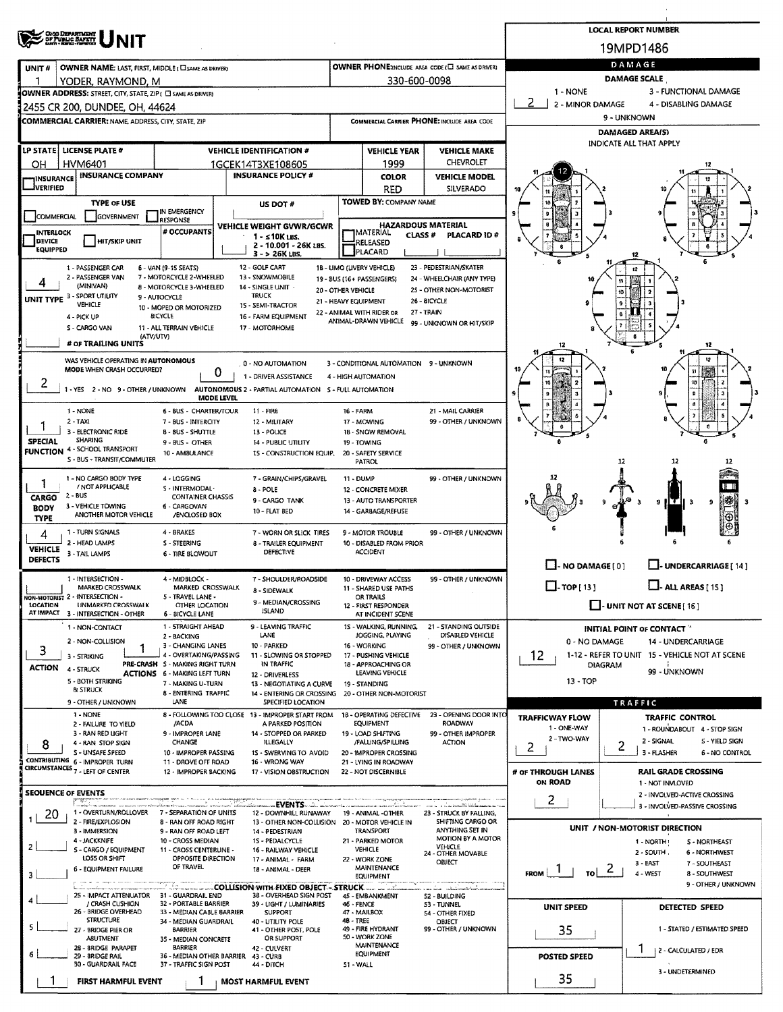| <b>CHOO DEPARTMENT<br/>OF PUBLIC BAFKYY</b><br>SANY : REEL : FRONT                                                |                                                                         |                                            |                                                 |                                                   |                                                          | <b>LOCAL REPORT NUMBER</b>                                          |  |  |  |  |  |
|-------------------------------------------------------------------------------------------------------------------|-------------------------------------------------------------------------|--------------------------------------------|-------------------------------------------------|---------------------------------------------------|----------------------------------------------------------|---------------------------------------------------------------------|--|--|--|--|--|
|                                                                                                                   |                                                                         |                                            |                                                 |                                                   |                                                          | 19MPD1486                                                           |  |  |  |  |  |
| UNIT#<br>OWNER NAME: LAST, FIRST, MIDDLE ( CI SAME AS DRIVER)                                                     |                                                                         |                                            |                                                 | OWNER PHONE:INCLUDE AREA CODE (E) SAME AS DRIVER) | DAMAGE                                                   |                                                                     |  |  |  |  |  |
| YODER, RAYMOND, M                                                                                                 |                                                                         |                                            | 330-600-0098                                    |                                                   | <b>DAMAGE SCALE</b><br>1 - NONE<br>3 - FUNCTIONAL DAMAGE |                                                                     |  |  |  |  |  |
| OWNER ADDRESS: STREET, CITY, STATE, ZIP ( C SAME AS DRIVER)                                                       |                                                                         |                                            |                                                 |                                                   | 2<br>2 - MINOR DAMAGE<br>4 - DISABLING DAMAGE            |                                                                     |  |  |  |  |  |
| 2455 CR 200, DUNDEE, OH, 44624<br><b>COMMERCIAL CARRIER: NAME, ADDRESS, CITY, STATE, ZIP</b>                      |                                                                         |                                            |                                                 | COMMERCIAL CARRIER PHONE: INCLUDE AREA CODE       | 9 - UNKNOWN                                              |                                                                     |  |  |  |  |  |
|                                                                                                                   |                                                                         |                                            |                                                 |                                                   |                                                          | <b>DAMAGED AREA(S)</b>                                              |  |  |  |  |  |
| LP STATE LICENSE PLATE #                                                                                          | <b>VEHICLE IDENTIFICATION #</b>                                         |                                            | <b>VEHICLE YEAR</b>                             | <b>VEHICLE MAKE</b>                               | INDICATE ALL THAT APPLY                                  |                                                                     |  |  |  |  |  |
| <b>HVM6401</b><br>OН                                                                                              | 1GCEK14T3XE108605                                                       |                                            | 1999                                            | CHEVROLET                                         |                                                          |                                                                     |  |  |  |  |  |
| <b>INSURANCE COMPANY</b><br>INSURANCE                                                                             | <b>INSURANCE POLICY #</b>                                               |                                            | <b>COLOR</b>                                    | <b>VEHICLE MODEL</b>                              |                                                          |                                                                     |  |  |  |  |  |
| <b>IVERIFIED</b>                                                                                                  |                                                                         |                                            | <b>RED</b>                                      | SILVERADO                                         |                                                          |                                                                     |  |  |  |  |  |
| <b>TYPE OF USE</b><br>IN EMERGENCY                                                                                | US DOT #                                                                |                                            | <b>TOWED BY: COMPANY NAME</b>                   |                                                   |                                                          |                                                                     |  |  |  |  |  |
| <b>GOVERNMENT</b><br>COMMERCIAL<br><b>RESPONSE</b>                                                                | VEHICLE WEIGHT GVWR/GCWR                                                |                                            | <b>HAZARDOUS MATERIAL</b>                       |                                                   |                                                          |                                                                     |  |  |  |  |  |
| # OCCUPANTS<br>INTERLOCK<br>DEVICE<br><b>HIT/SKIP UNIT</b>                                                        | $1 - 510K$ LBS.                                                         |                                            | <b>TMATERIAL</b><br><b>CLASS #</b>              | <b>PLACARD ID#</b>                                |                                                          |                                                                     |  |  |  |  |  |
| <b>EQUIPPED</b>                                                                                                   | 2 - 10.001 - 26K LBS.<br>$3 - 26K$ LBS.                                 | PLACARD                                    | RELEASED                                        |                                                   |                                                          |                                                                     |  |  |  |  |  |
| 1 - PASSENGER CAR<br>6 - VAN (9-15 SEATS)                                                                         | 12 - GOLF CART                                                          | 1B - LIMO (UVERY VEHICLE)                  |                                                 | 23 - PEDESTRIAN/SKATER                            |                                                          | 6<br>12                                                             |  |  |  |  |  |
| 2 - PASSENGER VAN<br>7 - MOTORCYCLE 2-WHEELED<br>4<br>(MINIVAN)                                                   | 13 - SNOWMOBILE                                                         | 19 - BUS (16+ PASSENGERS)                  |                                                 | 24 - WHEELCHAIR (ANY TYPE)                        |                                                          | 11                                                                  |  |  |  |  |  |
| 8 - MOTORCYCLE 3-WHEELED<br>UNIT TYPE 3 - SPORT UTILITY<br>9 - AUTOCYCLE                                          | 14 - SINGLE UNIT<br><b>TRUCK</b>                                        | 20 - OTHER VEHICLE<br>21 - HEAVY EQUIPMENT |                                                 | 25 - OTHER NON-MOTORIST<br>26 - BICYCLE           |                                                          |                                                                     |  |  |  |  |  |
| <b>VEHICLE</b><br>10 - MOPED OR MOTORIZED<br><b>BICYCLE</b><br>4 - PICK UP                                        | 15 - SEMI-TRACTOR<br>16 - FARM EQUIPMENT                                | 22 - ANIMAL WITH RIDER OR                  | 27 - TRAIN                                      |                                                   |                                                          |                                                                     |  |  |  |  |  |
| S - CARGO VAN<br>11 - ALL TERRAIN VEHICLE                                                                         | 17 - MOTORHOME                                                          |                                            | ANIMAL-DRAWN VEHICLE                            | 99 - UNKNOWN OR HIT/SKIP                          |                                                          |                                                                     |  |  |  |  |  |
| (ATV/UTV)<br># OF TRAILING UNITS                                                                                  |                                                                         |                                            |                                                 |                                                   | 12                                                       |                                                                     |  |  |  |  |  |
| WAS VEHICLE OPERATING IN AUTONOMOUS                                                                               |                                                                         |                                            |                                                 |                                                   |                                                          | 12                                                                  |  |  |  |  |  |
| MODE WHEN CRASH OCCURRED?                                                                                         | 0 - NO AUTOMATION<br>U<br>1 - DRIVER ASSISTANCE                         |                                            | 3 - CONDITIONAL AUTOMATION 9 - UNKNOWN          |                                                   |                                                          |                                                                     |  |  |  |  |  |
| 2<br>1 - YES 2 - NO 9 - OTHER / UNKNOWN                                                                           | AUTONOMOUS 2 - PARTIAL AUTOMATION 5 - FULL AUTOMATION                   | 4 - HIGH AUTOMATION                        |                                                 |                                                   |                                                          |                                                                     |  |  |  |  |  |
|                                                                                                                   | MODE LEVEL                                                              |                                            |                                                 |                                                   |                                                          |                                                                     |  |  |  |  |  |
| 1 - NONE<br>6 - BUS - CHARTER/TOUR                                                                                | $11 - FIRE$                                                             | 16 - FARM                                  |                                                 | 21 - MAIL CARRIER                                 |                                                          |                                                                     |  |  |  |  |  |
| $2 - TAX$<br>7 - BUS - INTERCITY<br>3 - ELECTRONIC RIDE<br><b>B-BUS-SHUTTLE</b>                                   | 12 - MILITARY<br>13 - POLICE                                            | 17 - MOWING                                | 1B - SNOW REMOVAL                               | 99 - OTHER / UNKNOWN                              |                                                          | 6                                                                   |  |  |  |  |  |
| <b>SHARING</b><br><b>SPECIAL</b><br>9 - BUS - OTHER<br>4 - SCHOOL TRANSPORT                                       | 14 - PUBLIC UTILITY                                                     | 19 - TOWING                                |                                                 |                                                   |                                                          |                                                                     |  |  |  |  |  |
| <b>FUNCTION</b><br>10 - AMBULANCE<br>S - BUS - TRANSIT/COMMUTER                                                   | 15 - CONSTRUCTION EQUIP,                                                | PATROL                                     | 20 - SAFETY SERVICE                             |                                                   |                                                          | 12<br>12<br>12                                                      |  |  |  |  |  |
| 1 - NO CARGO BODY TYPE<br>4 - LOGGING                                                                             | 7 - GRAIN/CHIPS/GRAVEL                                                  | <b>11 - DUMP</b>                           |                                                 | 99 - OTHER / UNKNOWN                              |                                                          |                                                                     |  |  |  |  |  |
| 1<br>/ NOT APPLICABLE<br>S - INTERMODAL-<br>$2 - BUS$                                                             | 8 - POLE                                                                |                                            | 12 - CONCRETE MIXER                             |                                                   |                                                          |                                                                     |  |  |  |  |  |
| <b>CONTAINER CHASSIS</b><br><b>CARGO</b><br>3 - VEHICLE TOWING<br>6 - CARGOVAN<br><b>BODY</b>                     | 9 - CARGO TANK                                                          |                                            | 13 - AUTO TRANSPORTER                           |                                                   |                                                          | 豂<br>э<br>9 H.C<br>3                                                |  |  |  |  |  |
| ANOTHER MOTOR VEHICLE<br>/ENCLOSED BOX<br><b>TYPE</b>                                                             | 10 - FLAT BED                                                           |                                            | 14 - GARBAGE/REFUSE                             |                                                   |                                                          |                                                                     |  |  |  |  |  |
| 1 - TURN SIGNALS<br>4 - BRAKES<br>4                                                                               | 7 - WORN OR SLICK TIRES                                                 |                                            | 9 - MOTOR TROUBLE                               | 99 - OTHER / UNKNOWN                              |                                                          |                                                                     |  |  |  |  |  |
| 2 - HEAD LAMPS<br>S - STEERING<br><b>VEHICLE</b><br>3 - TAIL LAMPS<br>6 - TIRE BLOWOUT                            | 8 - TRAILER EQUIPMENT<br>DEFECTIVE                                      | <b>ACCIDENT</b>                            | 10 - DISABLED FROM PRIOR                        |                                                   |                                                          |                                                                     |  |  |  |  |  |
| <b>DEFECTS</b>                                                                                                    |                                                                         |                                            |                                                 |                                                   | $\Box$ - NO DAMAGE [ 0 ]                                 | U-UNDERCARRIAGE[14]                                                 |  |  |  |  |  |
| 1 - INTERSECTION -<br>4 - MIDBLOCK -                                                                              | 7 - SHOULDER/ROADSIDE                                                   |                                            | 10 - DRIVEWAY ACCESS                            | 99 - OTHER / UNKNOWN                              |                                                          |                                                                     |  |  |  |  |  |
| <b>MARKED CROSSWALK</b><br>MARKED CROSSWALK<br>NON-MOTORIST 2 - INTERSECTION -<br>5 - TRAVEL LANE -               | 8 - SIDEWALK                                                            | <b>OR TRAILS</b>                           | 11 - SHARED USE PATHS                           |                                                   | $\Box$ -TOP[13]                                          | $\Box$ - ALL AREAS [ 15 ]                                           |  |  |  |  |  |
| LOCATION<br><b>UNMARKED CROSSWALK</b><br>OTHER LOCATION<br>AT IMPACT 3 - INTERSECTION - OTHER<br>6 - BICYCLE LANE | 9 - MEDIAN/CROSSING<br><b>ISLAND</b>                                    |                                            | 12 - FIRST RESPONDER<br>AT INCIDENT SCENE       |                                                   |                                                          | $\Box$ - UNIT NOT AT SCENE [16]                                     |  |  |  |  |  |
| 1 - STRAIGHT AHEAD<br>1 - NON-CONTACT                                                                             | 9 - LEAVING TRAFFIC                                                     |                                            | 1S - WALKING, RUNNING,                          | 21 - STANDING OUTSIDE                             |                                                          | INITIAL POINT OF CONTACT                                            |  |  |  |  |  |
| 2 - BACKING<br>2 - NON-COLLISION<br>3 - CHANGING LANES                                                            | LANE<br>10 - PARKED                                                     | 16 - WORKING                               | JOGGING, PLAYING                                | DISABLED VEHICLE<br>99 - OTHER / UNKNOWN          | 0 - NO DAMAGE                                            | <b>14 - UNDERCARRIAGE</b>                                           |  |  |  |  |  |
| 3<br>4 - OVERTAKING/PASSING<br>3 - STRIKING                                                                       | 11 - SLOWING OR STOPPED                                                 |                                            | 17 - PUSHING VEHICLE                            |                                                   | 12                                                       | 1-12 - REFER TO UNIT 15 - VEHICLE NOT AT SCENE                      |  |  |  |  |  |
| PRE-CRASH 5 - MAKING RIGHT TURN<br>ACTION<br>4 - STRUCK<br><b>ACTIONS 6 - MAKING LEFT TURN</b>                    | IN TRAFFIC<br>12 - DRIVERLESS                                           |                                            | 18 - APPROACHING OR<br>LEAVING VEHICLE          |                                                   |                                                          | <b>DIAGRAM</b><br>99 - UNKNOWN                                      |  |  |  |  |  |
| 5 - BOTH STRIKING<br>7 - MAKING U-TURN<br><b>B</b> STRUCK                                                         | 13 - NEGOTIATING A CURVE                                                | 19 - STANDING                              |                                                 |                                                   | 13 - TOP                                                 |                                                                     |  |  |  |  |  |
| 8 - ENTERING TRAFFIC<br><b>LANE</b><br>9 - OTHER / UNKNOWN                                                        | 14 - ENTERING OR CROSSING<br>SPECIFIED LOCATION                         |                                            | 20 - OTHER NON-MOTORIST                         |                                                   |                                                          | TRAFFIC                                                             |  |  |  |  |  |
| 1 - NONE                                                                                                          | 8 - FOLLOWING TOO CLOSE 13 - IMPROPER START FROM                        |                                            |                                                 | 18 - OPERATING DEFECTIVE 23 - OPENING DOOR INTO   | <b>TRAFFICWAY FLOW</b>                                   | <b>TRAFFIC CONTROL</b>                                              |  |  |  |  |  |
| 2 - FAILURE TO YIELD<br>/ACDA<br>3 - RAN RED LIGHT<br>9 - IMPROPER LANE                                           | A PARKED POSITION<br>14 - STOPPED OR PARKED                             |                                            | EQUIPMENT<br>19 - LOAD SHIFTING                 | <b>ROADWAY</b><br>99 - OTHER IMPROPER             | 1 - ONE-WAY                                              | 1 - ROUNDABOUT 4 - STOP SIGN                                        |  |  |  |  |  |
| 4 - RAN STOP SIGN<br>CHANGE<br>8                                                                                  | ILLEGALLY                                                               |                                            | /FALLING/SPILLING                               | <b>ACTION</b>                                     | 2 - TWO-WAY<br>2                                         | 2 - SIGNAL<br><b>S - YIELD SIGN</b><br>2                            |  |  |  |  |  |
| S - UNSAFE SPEED<br>10 - IMPROPER PASSING<br>CONTRIBUTING 6 - IMPROPER TURN<br>11 - DROVE OFF ROAD                | 1S - SWERVING TO AVOID<br>16 - WRONG WAY                                |                                            | 20 - IMPROPER CROSSING<br>21 - LYING IN ROADWAY |                                                   |                                                          | 3 - FLASHER<br>6 - NO CONTROL                                       |  |  |  |  |  |
| CIRCUMSTANCES <sub>7</sub> - LEFT OF CENTER<br>12 - IMPROPER BACKING                                              | 17 - VISION OBSTRUCTION                                                 |                                            | 22 - NOT DISCERNIBLE                            |                                                   | # OF THROUGH LANES<br>ON ROAD                            | <b>RAIL GRADE CROSSING</b>                                          |  |  |  |  |  |
| <b>SEOUENCE OF EVENTS</b>                                                                                         |                                                                         |                                            |                                                 |                                                   |                                                          | 1 - NOT INVLOVED<br>2 - INVOLVED-ACTIVE CROSSING                    |  |  |  |  |  |
| ೯ ಕು<br>20 iuwa wa mshindi<br>1 - OVERTURN/ROLLOVER<br>7 - SEPARATION OF UNITS                                    | EVENTS                                                                  |                                            |                                                 | on terrari Ste kilohon.                           | 2                                                        | 3 - INVOLVED-PASSIVE CROSSING                                       |  |  |  |  |  |
| 20<br>2 - FIRE/EXPLOSION<br>8 - RAN OFF ROAD RIGHT                                                                | 12 - DOWNHILL RUNAWAY<br>13 - OTHER NON-COLLISION 20 - MOTOR VEHICLE IN |                                            | 19 - ANIMAL -OTHER                              | 23 - STRUCK BY FALLING,<br>SHIFTING CARGO OR      |                                                          |                                                                     |  |  |  |  |  |
| 3 - IMMERSION<br>9 - RAN OFF ROAD LEFT<br>4 - JACKKNIFE<br>10 - CROSS MEDIAN                                      | 14 - PEDESTRIAN<br>15 - PEDALCYCLE                                      |                                            | <b>TRANSPORT</b><br>21 - PARKED MOTOR           | ANYTHING SET IN<br>MOTION BY A MOTOR              |                                                          | UNIT / NON-MOTORIST DIRECTION<br>1 - NORTH!<br><b>S - NORTHEAST</b> |  |  |  |  |  |
| 2<br>S - CARGO / EQUIPMENT<br>11 - CROSS CENTERLINE -                                                             | 16 - RAILWAY VEHICLE                                                    | <b>VEHICLE</b>                             |                                                 | VEHICLE<br>24 - OTHER MOVABLE                     |                                                          | 2 - SOUTH.<br>6 - NORTHWEST                                         |  |  |  |  |  |
| LOSS OR SHIFT<br>OPPOSITE DIRECTION<br>OF TRAVEL<br>6 - EQUIPMENT FAILURE                                         | 17 - ANIMAL - FARM<br>18 - ANIMAL - DEER                                | 22 - WORK ZONE                             | <b>MAINTENANCE</b>                              | OBJECT                                            |                                                          | $3 - EAST$<br>7 - SOUTHEAST<br>$\epsilon$                           |  |  |  |  |  |
| з                                                                                                                 |                                                                         |                                            | <b>EQUIPMENT</b>                                |                                                   | FROM  <br>τoΙ                                            | 4 - WEST<br>8 - SOUTHWEST<br>9 - OTHER / UNKNOWN                    |  |  |  |  |  |
| 25 - IMPACT ATTENUATOR 31 - GUARDRAIL END                                                                         | 38 - OVERHEAD SIGN POST                                                 | 45 - EMBANKMENT                            |                                                 | in strivership and<br>52 - BUILDING               |                                                          |                                                                     |  |  |  |  |  |
| / CRASH CUSHION<br>32 - PORTABLE BARRIER<br>26 - BRIDGE OVERHEAD<br>33 - MEDIAN CABLE BARRIER                     | 39 - LIGHT / LUMINARIES<br><b>SUPPORT</b>                               | 46 - FENCE<br>47 - MAILBOX                 |                                                 | 53 - TUNNEL<br>54 - OTHER FIXED                   | <b>UNIT SPEED</b>                                        | DETECTED SPEED                                                      |  |  |  |  |  |
| <b>STRUCTURE</b><br>34 - MEDIAN GUARDRAIL<br><b>BARRIER</b><br>27 - BRIDGE PIER OR                                | 40 - UTILITY POLE<br>41 - OTHER POST, POLE                              | 48 - TREE<br>49 - FIRE HYDRANT             |                                                 | OBJECT<br>99 - OTHER / UNKNOWN                    | 35                                                       | 1 - STATED / ESTIMATED SPEED                                        |  |  |  |  |  |
| <b>ABUTMENT</b><br>35 - MEDIAN CONCRETE                                                                           | OR SUPPORT                                                              | 50 - WORK ZONE                             | MAINTENANCE                                     |                                                   |                                                          |                                                                     |  |  |  |  |  |
| 28 - BRIDGE PARAPET<br><b>BARRIER</b><br>29 - BRIDGE RAIL<br>36 - MEDIAN OTHER BARRIER                            | 42 - CULVERT<br>43 - CURB                                               |                                            | <b>EQUIPMENT</b>                                |                                                   | <b>POSTED SPEED</b>                                      | 1<br>  2 - CALCULATED / EDR                                         |  |  |  |  |  |
| 30 - GUARDRAIL FACE<br>37 - TRAFFIC SIGN POST                                                                     | 44 - DITCH                                                              | 51 - WALL                                  |                                                 |                                                   |                                                          | 3 - UNDETERMINED                                                    |  |  |  |  |  |
| <b>FIRST HARMFUL EVENT</b><br>ı                                                                                   | <b>MOST HARMFUL EVENT</b>                                               |                                            |                                                 |                                                   | 35                                                       |                                                                     |  |  |  |  |  |

 $\bar{\epsilon}$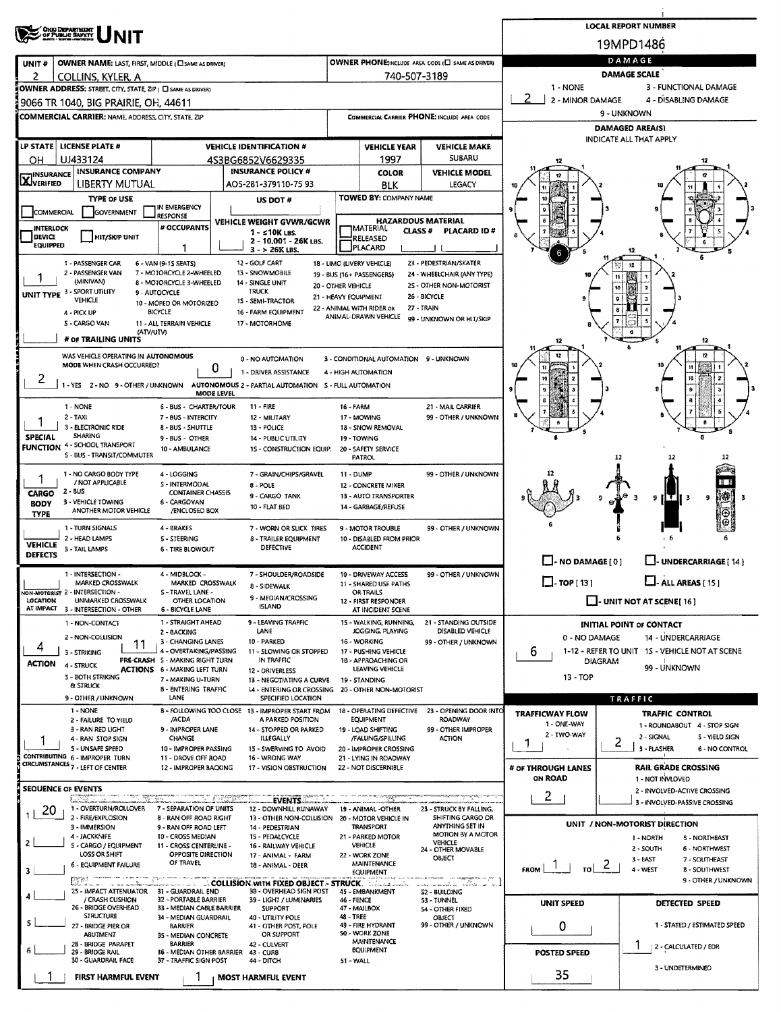|                                               |                                                                                  |                                                           |                                                                         |                                                      |                                                          |                                                       |                                      | <b>LOCAL REPORT NUMBER</b>                                         |  |  |  |  |
|-----------------------------------------------|----------------------------------------------------------------------------------|-----------------------------------------------------------|-------------------------------------------------------------------------|------------------------------------------------------|----------------------------------------------------------|-------------------------------------------------------|--------------------------------------|--------------------------------------------------------------------|--|--|--|--|
|                                               | <b>ONG DEPARTMENT</b><br>OF PUBLIC SAFETY                                        |                                                           | 19MPD1486                                                               |                                                      |                                                          |                                                       |                                      |                                                                    |  |  |  |  |
| UNIT#                                         | OWNER NAME: LAST, FIRST, MIDDLE (CI SAME AS DRIVER)                              |                                                           |                                                                         |                                                      |                                                          | OWNER PHONE: INCLUDE AREA CODE (L) SAME AS DRIVERY    | DAMAGE<br><b>DAMAGE SCALE</b>        |                                                                    |  |  |  |  |
| 2                                             | COLLINS, KYLER, A<br>OWNER ADDRESS: STREET, CITY, STATE, ZIP ( C SAME AS DRIVER) |                                                           |                                                                         |                                                      | 740-507-3189                                             |                                                       | 1 - NONE                             | 3 - FUNCTIONAL DAMAGE                                              |  |  |  |  |
|                                               | 9066 TR 1040, BIG PRAIRIE, OH, 44611                                             |                                                           |                                                                         |                                                      |                                                          |                                                       | 2<br>2 - MINOR DAMAGE                | 4 - DISABLING DAMAGE                                               |  |  |  |  |
|                                               | <b>COMMERCIAL CARRIER: NAME, ADDRESS, CITY, STATE, ZIP</b>                       |                                                           |                                                                         |                                                      |                                                          | COMMERCIAL CARRIER PHONE: INCLUDE AREA CODE           |                                      | 9 - UNKNOWN                                                        |  |  |  |  |
|                                               |                                                                                  |                                                           |                                                                         |                                                      |                                                          |                                                       |                                      | <b>DAMAGED AREA(S)</b><br>INDICATE ALL THAT APPLY                  |  |  |  |  |
|                                               | LP STATE   LICENSE PLATE #                                                       |                                                           | <b>VEHICLE IDENTIFICATION #</b>                                         | <b>VEHICLE YEAR</b><br><b>VEHICLE MAKE</b><br>SUBARU |                                                          |                                                       |                                      |                                                                    |  |  |  |  |
| OН<br><b>INSURANCE</b>                        | UJ433124<br><b>INSURANCE COMPANY</b>                                             |                                                           | 4S3BG6852V6629335<br><b>INSURANCE POLICY #</b>                          |                                                      | 1997<br><b>COLOR</b>                                     | <b>VEHICLE MODEL</b>                                  |                                      |                                                                    |  |  |  |  |
| XVERIFIED                                     | LIBERTY MUTUAL                                                                   |                                                           | AO5-281-379110-75 93                                                    |                                                      | BLK                                                      | <b>LEGACY</b>                                         |                                      |                                                                    |  |  |  |  |
|                                               | <b>TYPE OF USE</b>                                                               | IN EMERGENCY                                              | US DOT #                                                                |                                                      | <b>TOWED BY: COMPANY NAME</b>                            |                                                       |                                      |                                                                    |  |  |  |  |
| COMMERCIAL                                    | GOVERNMENT                                                                       | <b>RESPONSE</b>                                           | VEHICLE WEIGHT GVWR/GCWR                                                |                                                      |                                                          | <b>HAZARDOUS MATERIAL</b>                             |                                      |                                                                    |  |  |  |  |
| <b>INTERLOCK</b><br>DEVICE<br><b>EQUIPPED</b> | <b>HIT/SKIP UNIT</b>                                                             | # OCCUPANTS                                               | $1 - 510K$ LBS.<br>2 - 10,001 - 26K LBS.<br>$3 - 26K$ LBS.              |                                                      | <b>IMATERIAL</b><br><b>CLASS#</b><br>RELEASED<br>PLACARD | PLACARD ID#                                           |                                      |                                                                    |  |  |  |  |
|                                               | 1 - PASSENGER CAR<br>2 - PASSENGER VAN                                           | 6 - VAN (9-15 SEATS)<br>7 - MOTORCYCLE 2-WHEELED          | 12 - GOLF CART<br>13 - SNOWMOBILE                                       | 18 - LIMO (LIVERY VEHICLE)                           |                                                          | 23 - PEDESTRIAN/SKATER                                |                                      |                                                                    |  |  |  |  |
|                                               | (MINIVAN)                                                                        | 8 - MOTORCYCLE 3-WHEELED                                  | 14 - SINGLE UNIT                                                        | 19 - BUS (16+ PASSENGERS)<br>20 - OTHER VEHICLE      |                                                          | 24 - WHEELCHAIR (ANY TYPE)<br>2S - OTHER NON-MOTORIST |                                      |                                                                    |  |  |  |  |
|                                               | UNIT TYPE 3 - SPORT UTILITY<br><b>VEHICLE</b>                                    | 9 - AUTOCYCLE<br>10 - MOPED OR MOTORIZED                  | <b>TRUCK</b><br>15 - SEMI-TRACTOR                                       | 21 - HEAVY EQUIPMENT                                 |                                                          | 26 - BICYCLE<br>27 - TRAIN                            |                                      |                                                                    |  |  |  |  |
|                                               | 4 - PICK UP<br>S - CARGO VAN                                                     | <b>BICYCLE</b><br>11 - ALL TERRAIN VEHICLE                | 16 - FARM EQUIPMENT<br>17 - MOTORHOME                                   | 22 - ANIMAL WITH RIDER OR<br>ANIMAL-DRAWN VEHICLE    |                                                          | 99 - UNKNOWN OR HIT/SKIP                              |                                      |                                                                    |  |  |  |  |
|                                               | (ATV/UTV)<br># OF TRAILING UNITS                                                 |                                                           |                                                                         |                                                      |                                                          |                                                       | 12                                   | 12                                                                 |  |  |  |  |
|                                               | WAS VEHICLE OPERATING IN AUTONOMOUS                                              |                                                           | 0 - NO AUTOMATION                                                       |                                                      |                                                          |                                                       | 12                                   |                                                                    |  |  |  |  |
|                                               | MODE WHEN CRASH OCCURRED?                                                        | 0                                                         | 1 - DRIVER ASSISTANCE                                                   | 4 - HIGH AUTOMATION                                  | 3 - CONDITIONAL AUTOMATION 9 - UNKNOWN                   |                                                       |                                      |                                                                    |  |  |  |  |
| 2                                             | 1 - YES 2 - NO 9 - OTHER / UNKNOWN                                               |                                                           | AUTONOMOUS 2 - PARTIAL AUTOMATION 5 - FULL AUTOMATION                   |                                                      |                                                          |                                                       |                                      | 10                                                                 |  |  |  |  |
|                                               | 1 - NONE                                                                         | <b>MODE LEVEL</b><br>6 - BUS - CHARTER/TOUR               | $11 -$ FIRE                                                             | <b>16 - FARM</b>                                     |                                                          | 21 - MAIL CARRIER                                     |                                      |                                                                    |  |  |  |  |
|                                               | $2 - TAXI$                                                                       | 7 - BUS - INTERCITY                                       | 12 MILITARY                                                             | 17 MOWING                                            |                                                          | 99 - OTHER / UNKNOWN                                  |                                      |                                                                    |  |  |  |  |
| <b>SPECIAL</b>                                | 3 - ELECTRONIC RIDE<br>SHARING                                                   | 8 - BUS - SHUTTLE<br>9 - BUS - OTHER                      | 13 - POLICE<br>14 - PUBLIC UTILITY                                      | 19 - TOWING                                          | <b>18 - SNOW REMOVAL</b>                                 |                                                       |                                      |                                                                    |  |  |  |  |
| <b>FUNCTION</b>                               | 4 - SCHOOL TRANSPORT<br>S - BUS - TRANSIT/COMMUTER                               | 10 - AMBULANCE                                            | <b>1S - CONSTRUCTION EQUIP.</b>                                         | <b>PATROL</b>                                        | 20 - SAFETY SERVICE                                      |                                                       |                                      | 12                                                                 |  |  |  |  |
|                                               | 1 - NO CARGO BODY TYPE                                                           | 4 - LOGGING                                               | 7 - GRAIN/CHIPS/GRAVEL                                                  | $11 - DUMP$                                          |                                                          | 99 - OTHER / UNKNOWN                                  |                                      |                                                                    |  |  |  |  |
| CARGO                                         | / NOT APPLICABLE<br>$2 - 8US$                                                    | S - INTERMODAL<br><b>CONTAINER CHASSIS</b>                | 8 - POLE                                                                |                                                      | 12 - CONCRETE MIXER                                      |                                                       |                                      |                                                                    |  |  |  |  |
| <b>BODY</b>                                   | 3 - VEHICLE TOWING<br>ANOTHER MOTOR VEHICLE                                      | 6 - CARGOVAN<br>/ENCLOSED BOX                             | 9 - CARGO TANK<br>10 - FLAT BED                                         |                                                      | 13 - AUTO TRANSPORTER<br>14 - GARBAGE/REFUSE             |                                                       |                                      | 糝<br>9 IL C<br>9<br>$\mathbf{a}$                                   |  |  |  |  |
| <b>TYPE</b>                                   | 1 - TURN SIGNALS                                                                 | 4 - BRAKES                                                |                                                                         |                                                      |                                                          | 99 - OTHER / UNKNOWN                                  |                                      |                                                                    |  |  |  |  |
| <b>VEHICLE</b>                                | 2 - HEAD LAMPS                                                                   | <b>S-STEERING</b>                                         | 7 - WORN OR SLICK TIRES<br><b>8 - TRAILER EQUIPMENT</b>                 |                                                      | 9 - MOTOR TROUBLE<br>10 - DISABLED FROM PRIOR            |                                                       |                                      |                                                                    |  |  |  |  |
| <b>DEFECTS</b>                                | 3 - TAIL LAMPS                                                                   | 6 - TIRE BLOWOUT                                          | <b>DEFECTIVE</b>                                                        | <b>ACCIDENT</b>                                      |                                                          |                                                       | $\Box$ - NO DAMAGE [ 0 ]             | U-UNDERCARRIAGE [14]                                               |  |  |  |  |
|                                               | 1 - INTERSECTION                                                                 | 4 - MIDBLOCK -                                            | 7 - SHOULDER/ROADSIDE                                                   |                                                      | 10 - DRIVEWAY ACCESS                                     | 99 - OTHER / UNKNOWN                                  |                                      |                                                                    |  |  |  |  |
|                                               | MARKED CROSSWALK<br>NON-MOTORLST 2 - INTERSECTION -                              | MARKED CROSSWALK<br>S-TRAVEL LANE -                       | 8 - SIDEWALK                                                            | <b>OR TRAILS</b>                                     | 11 - SHARED USE PATHS                                    |                                                       | $\Box$ TOP [13]                      | $L$ -ALL AREAS [15]                                                |  |  |  |  |
| LOCATION                                      | UNMARKED CROSSWALK<br>AT IMPACT 3 - INTERSECTION - OTHER                         | OTHER LOCATION<br>6 - BICYCLE LANE                        | 9 - MEDJAN/CROSSING<br><b>ISLAND</b>                                    |                                                      | 12 - FIRST RESPONDER<br>AT INCIDENT SCENE                |                                                       |                                      | $\Box$ - UNIT NOT AT SCENE[16]                                     |  |  |  |  |
|                                               | 1 - NON-CONTACT                                                                  | 1 - STRAIGHT AHEAD                                        | 9 - LEAVING TRAFFIC                                                     |                                                      | 15 - WALKING, RUNNING,                                   | 21 - STANDING OUTSIDE                                 |                                      | INITIAL POINT OF CONTACT                                           |  |  |  |  |
|                                               | 2 - NON-COLLISION<br>11                                                          | 2 - BACKING<br>3 - CHANGING LANES                         | LANE<br>10 - PARKED                                                     | 16 - WORKING                                         | JOGGING, PLAYING                                         | DISABLED VEHICLE<br>99 - OTHER / UNKNOWN              | 0 - NO DAMAGE                        | 14 - UNDERCARRIAGE                                                 |  |  |  |  |
| 4<br><b>ACTION</b>                            | 3 - STRIKING                                                                     | 4 - OVERTAKING/PASSING<br>PRE-CRASH S - MAKING RIGHT TURN | 11 - SLOWING OR STOPPED<br>IN TRAFFIC                                   |                                                      | 17 - PUSHING VEHICLE<br>18 - APPROACHING OR              |                                                       | 6<br><b>DIAGRAM</b>                  | 1-12 - REFER TO UNIT 1S - VEHICLE NOT AT SCENE                     |  |  |  |  |
|                                               | 4 - STRUCK<br>5 - BOTH STRIKING                                                  | <b>ACTIONS 6 - MAKING LEFT TURN</b><br>7 - MAKING U-TURN  | 12 - DRIVERLESS<br>13 - NEGOTIATING A CURVE                             | 19 - STANDING                                        | LEAVING VEHICLE                                          |                                                       | $13 - TOP$                           | 99 - UNKNOWN                                                       |  |  |  |  |
|                                               | & STRUCK                                                                         | <b>B-ENTERING TRAFFIC</b>                                 | 14 - ENTERING OR CROSSING                                               |                                                      | 20 - OTHER NON-MOTORIST                                  |                                                       |                                      |                                                                    |  |  |  |  |
|                                               | 9 - OTHER / UNKNOWN<br>1 - NONE                                                  | LANE                                                      | SPECIFIED LOCATION<br>8 - FOLLOWING TOO CLOSE 13 - IMPROPER START FROM  |                                                      |                                                          | 18 - OPERATING DEFECTIVE 23 - OPENING DOOR INTO       | <b>TRAFFICWAY FLOW</b>               | TRAFFIC<br><b>TRAFFIC CONTROL</b>                                  |  |  |  |  |
|                                               | 2 - FAILURE TO YIELD<br>3 - RAN RED LIGHT                                        | /ACDA<br>9 - IMPROPER LANE                                | A PARKED POSITION<br>14 - STOPPED OR PARKED                             |                                                      | <b>EQUIPMENT</b><br>19 - LOAD SHIFTING                   | ROADWAY<br>99 - OTHER IMPROPER                        | 1 - ONE-WAY                          | 1 - ROUNDABOUT 4 - STOP SIGN                                       |  |  |  |  |
|                                               | 4 - RAN STOP SIGN<br><b>S - UNSAFE SPEED</b>                                     | <b>CHANGE</b><br>10 - IMPROPER PASSING                    | <b>ILLEGALLY</b><br>15 - SWERVING TO AVOID                              |                                                      | /FALLING/SPILLING<br>20 - IMPROPER CROSSING              | ACTION                                                | 2 - TWO-WAY                          | 2 - SIGNAL<br>5 - YIELD SIGN<br>2<br>3 - FLASHER<br>6 - NO CONTROL |  |  |  |  |
|                                               | CONTRIBUTING 6 - IMPROPER TURN<br>CIRCUMSTANCES <sub>7</sub> - LEFT OF CENTER    | 11 - DROVE OFF ROAD                                       | 16 - WRONG WAY                                                          |                                                      | 21 - LYING IN ROADWAY                                    |                                                       |                                      |                                                                    |  |  |  |  |
|                                               |                                                                                  | 12 - IMPROPER BACKING                                     | 17 - VISION OBSTRUCTION                                                 |                                                      | 22 - NOT DISCERNIBLE                                     |                                                       | # OF THROUGH LANES<br><b>ON ROAD</b> | <b>RAIL GRADE CROSSING</b><br>1 - NOT INVLOVED                     |  |  |  |  |
| <b>SEQUENCE OF EVENTS</b>                     | <u>tang ana</u>                                                                  |                                                           | <b>EVENTS</b>                                                           |                                                      |                                                          |                                                       | $\mathbf{2}$                         | 2 - INVOLVED-ACTIVE CROSSING                                       |  |  |  |  |
| 20                                            | 1 - OVERTURN/ROLLOVER<br>2 - FIRE/EXPLOSION                                      | 7 - SEPARATION OF UNITS<br>8 - RAN OFF ROAD RIGHT         | 12 - DOWNHILL RUNAWAY<br>13 - OTHER NON-COLLISION 20 - MOTOR VEHICLE IN |                                                      | 19 - ANIMAL -OTHER                                       | 23 - STRUCK BY FALLING,<br>SHIFTING CARGO OR          |                                      | 3 - INVOLVED-PASSIVE CROSSING                                      |  |  |  |  |
|                                               | 3 - IMMERSION                                                                    | 9 - RAN OFF ROAD LEFT                                     | 14 - PEDESTRIAN                                                         |                                                      | <b>TRANSPORT</b>                                         | ANYTHING SET IN<br>MOTION BY A MOTOR                  |                                      | UNIT / NON-MOTORIST DIRECTION                                      |  |  |  |  |
| 2                                             | 4 - JACKKNIFE<br>5 - CARGO / EQUIPMENT                                           | 10 - CROSS MEDIAN<br>11 - CROSS CENTERLINE -              | 15 - PEDALCYCLE<br>16 - RAILWAY VEHICLE                                 | VEHICLE                                              | 21 - PARKED MOTOR                                        | VEHICLE<br>24 - OTHER MOVABLE                         |                                      | 1 - NORTH<br>5 - NORTHEAST<br>$2 - 50$ UTH<br>6 - NORTHWEST        |  |  |  |  |
|                                               | LOSS OR SHIFT<br>6 - EQUIPMENT FAILURE                                           | OPPOSITE DIRECTION<br>OF TRAVEL                           | 17 - ANIMAL - FARM<br>18 - ANIMAL - DEER                                | 22 - WORK ZONE                                       | <b>MAINTENANCE</b>                                       | OBJECT                                                | $_{\rm rot}$ 2<br><b>FROM</b>        | $3 - EAST$<br>7 - SOUTHEAST<br>4 - WEST<br>8 - SOUTHWEST           |  |  |  |  |
|                                               | anse -                                                                           |                                                           |                                                                         |                                                      | EQUIPMENT                                                |                                                       |                                      | 9 - OTHER / UNKNOWN                                                |  |  |  |  |
|                                               | 25 - IMPACT ATTENUATOR 31 - GUARDRAIL END<br>/ CRASH CUSHION                     | 32 - PORTABLE BARRIER                                     | 38 - OVERHEAD SIGN POST<br>39 - LIGHT / LUMINARIES                      | 45 - EMBANKMENT<br>46 - FENCE                        |                                                          | <b>S2 - BUILDING</b><br>53 - TUNNEL                   |                                      |                                                                    |  |  |  |  |
|                                               | 26 - BRIDGE OVERHEAD<br><b>STRUCTURE</b>                                         | 33 - MEDIAN CABLE BARRIER<br>34 - MEDIAN GUARDRAIL        | <b>SUPPORT</b><br>40 - UTILITY POLE                                     | 47 - MAILBOX<br>48 - TREE                            |                                                          | S4 - OTHER FIXED<br>OBJECT                            | <b>UNIT SPEED</b>                    | DETECTED SPEED                                                     |  |  |  |  |
|                                               | 27 - BRIDGE PIER OR<br><b>ABUTMENT</b>                                           | <b>BARRIER</b><br>35 - MEDIAN CONCRETE                    | 41 - OTHER POST, POLE<br>OR SUPPORT                                     | 49 - FIRE HYDRANT<br>50 - WORK ZONE                  |                                                          | 99 - OTHER / UNKNOWN                                  | 0                                    | 1 - STATED / ESTIMATED SPEED                                       |  |  |  |  |
|                                               | 28 - BRIDGE PARAPET<br>29 - BRIDGE RAIL                                          | <b>BARRIER</b><br>36 - MEDIAN OTHER BARRIER 43 - CURB     | 42 - CULVERT                                                            |                                                      | <b>MAINTENANCE</b><br>EQUIPMENT                          |                                                       | <b>POSTED SPEED</b>                  | 2 - CALCULATED / EDR                                               |  |  |  |  |
|                                               | 30 - GUARDRAIL FACE                                                              | 37 - TRAFFIC SIGN POST                                    | 44 - DITCH                                                              | 51 - WALL                                            |                                                          |                                                       |                                      | 3 - UNDETERMINED                                                   |  |  |  |  |
|                                               | FIRST HARMFUL EVENT                                                              |                                                           | <b>MOST HARMFUL EVENT</b>                                               |                                                      |                                                          |                                                       | 35                                   |                                                                    |  |  |  |  |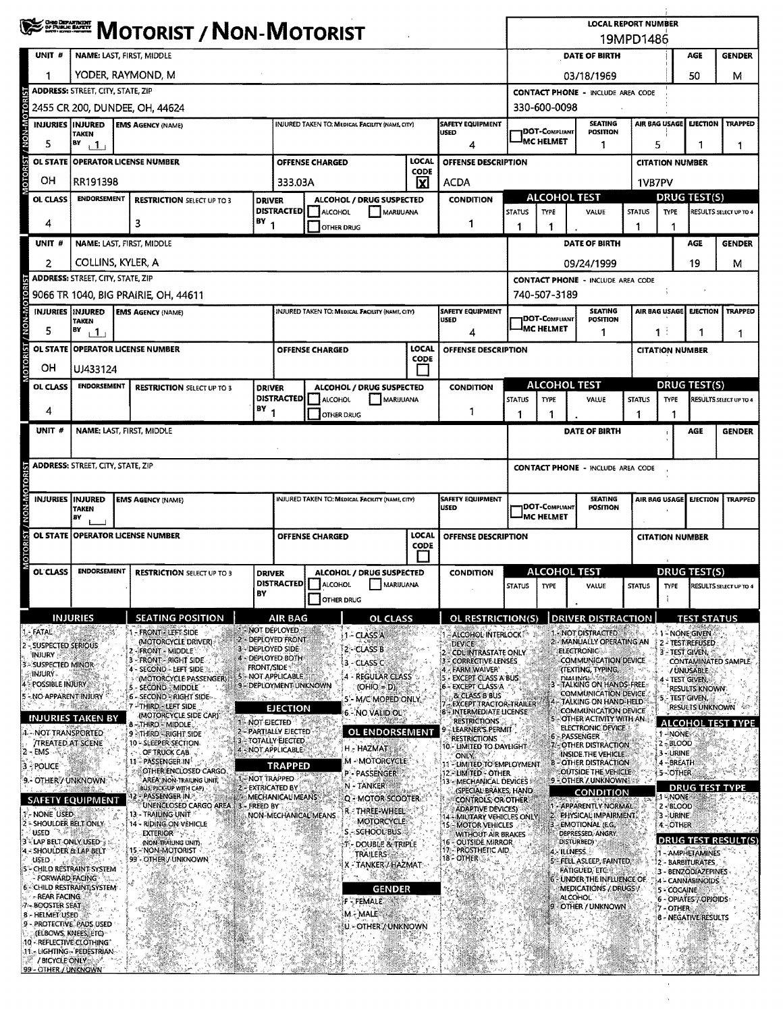|                                                          | <b>EXERCO MOTORIST / NON-MOTORIST</b>                                   |                                                   |                                            |                      |                                                       |             |                                                              |               |                                            | <b>LOCAL REPORT NUMBER</b>                              | 19MPD1486                             |                        |                                            | <b>GENDER</b><br>50<br>м   |  |  |  |  |  |  |
|----------------------------------------------------------|-------------------------------------------------------------------------|---------------------------------------------------|--------------------------------------------|----------------------|-------------------------------------------------------|-------------|--------------------------------------------------------------|---------------|--------------------------------------------|---------------------------------------------------------|---------------------------------------|------------------------|--------------------------------------------|----------------------------|--|--|--|--|--|--|
| UNIT #                                                   |                                                                         | NAME: LAST, FIRST, MIDDLE                         |                                            |                      |                                                       |             |                                                              |               |                                            | DATE OF BIRTH                                           |                                       |                        | AGE                                        |                            |  |  |  |  |  |  |
|                                                          |                                                                         | YODER, RAYMOND, M                                 |                                            |                      |                                                       |             |                                                              |               |                                            | 03/18/1969                                              |                                       |                        |                                            |                            |  |  |  |  |  |  |
|                                                          | <b>ADDRESS: STREET, CITY, STATE, ZIP</b>                                |                                                   |                                            |                      |                                                       |             |                                                              |               |                                            | <b>CONTACT PHONE - INCLUDE AREA CODE</b>                |                                       |                        |                                            |                            |  |  |  |  |  |  |
|                                                          |                                                                         | 2455 CR 200, DUNDEE, OH, 44624                    |                                            |                      |                                                       |             |                                                              |               | 330-600-0098                               |                                                         |                                       |                        |                                            |                            |  |  |  |  |  |  |
| NON-MOTOR<br><b>INJURIES IINJURED</b>                    |                                                                         | <b>EMS AGENCY (NAME)</b>                          |                                            |                      | <b>INJURED TAKEN TO: MEDICAL FACILITY (NAME CITY)</b> |             | <b>SAFETY EQUIPMENT</b>                                      |               |                                            | <b>SEATING</b>                                          |                                       | AIR BAG USAGE          | <b>EJECTION</b>                            | TRAPPED                    |  |  |  |  |  |  |
| 5                                                        | <b>TAKEN</b><br>$P^{\gamma}$ $1$                                        |                                                   |                                            |                      |                                                       |             | luseo<br>4                                                   |               | <b>IDOT-COMPLIANT</b><br><b>IMC HELMET</b> | POSITION<br>1                                           |                                       | 5                      | 1                                          |                            |  |  |  |  |  |  |
| <b>OL STATE</b>                                          |                                                                         |                                                   |                                            |                      |                                                       | LOCAL       | OFFENSE DESCRIPTION                                          |               |                                            |                                                         |                                       |                        |                                            | 1                          |  |  |  |  |  |  |
| <b>TOTORIST</b>                                          | <b>OPERATOR LICENSE NUMBER</b><br><b>OFFENSE CHARGED</b><br><b>CODE</b> |                                                   |                                            |                      |                                                       |             |                                                              |               |                                            |                                                         |                                       |                        | <b>CITATION NUMBER</b>                     |                            |  |  |  |  |  |  |
| OН                                                       | RR191398                                                                |                                                   |                                            | 333.03A              |                                                       | x           | <b>ACDA</b>                                                  |               |                                            |                                                         |                                       | 1VB7PV                 |                                            |                            |  |  |  |  |  |  |
| OL CLASS                                                 | <b>ENDORSEMENT</b>                                                      | <b>RESTRICTION SELECT UP TO 3</b>                 | <b>DRIVER</b>                              |                      | ALCOHOL / DRUG SUSPECTED                              |             | <b>CONDITION</b>                                             |               | ALCOHOL TEST                               |                                                         |                                       | DRUG TEST(S)           |                                            |                            |  |  |  |  |  |  |
| 4                                                        |                                                                         | з                                                 | $(BY_1$                                    | <b>DISTRACTED</b>    | <b>ALCOHOL</b><br>MARUUANA                            |             | 1                                                            | <b>STATUS</b> | <b>TYPE</b>                                |                                                         | <b>STATUS</b><br>VALUE<br><b>TYPE</b> |                        | RESULTS SELECT UP TO 4                     |                            |  |  |  |  |  |  |
|                                                          |                                                                         |                                                   |                                            |                      | <b>OTHER DRUG</b>                                     |             |                                                              | 1             | 1                                          |                                                         |                                       |                        |                                            |                            |  |  |  |  |  |  |
| UNIT #                                                   |                                                                         | NAME: LAST, FIRST, MIDDLE                         |                                            |                      |                                                       |             |                                                              |               |                                            | <b>DATE OF BIRTH</b>                                    |                                       |                        | <b>AGE</b>                                 | <b>GENDER</b>              |  |  |  |  |  |  |
| 2                                                        |                                                                         | COLLINS, KYLER, A                                 |                                            |                      |                                                       |             |                                                              |               |                                            | 09/24/1999                                              |                                       |                        | 19                                         | м                          |  |  |  |  |  |  |
|                                                          | <b>ADDRESS: STREET, CITY, STATE, ZIP</b>                                |                                                   |                                            |                      |                                                       |             |                                                              |               |                                            | <b>CONTACT PHONE - INCLUDE AREA CODE</b>                |                                       |                        |                                            |                            |  |  |  |  |  |  |
|                                                          |                                                                         | 9066 TR 1040, BIG PRAIRIE, OH, 44611              |                                            |                      |                                                       |             |                                                              |               | 740-507-3189                               |                                                         |                                       |                        |                                            |                            |  |  |  |  |  |  |
| <b>INJURIES INJURED</b>                                  | <b>TAKEN</b>                                                            | <b>EMS AGENCY (NAME)</b>                          |                                            |                      | INJURED TAKEN TO: MEDICAL FACILITY (NAME, CITY)       |             | <b>SAFETY EQUIPMENT</b><br>USED                              |               | <b>IDOT-C</b> ompliant                     | <b>SEATING</b><br><b>POSITION</b>                       |                                       | AIR BAG USAGE          | <b>EJECTION</b>                            | <b>TRAPPED</b>             |  |  |  |  |  |  |
| 5                                                        | BY<br>11                                                                |                                                   |                                            |                      |                                                       |             | 4                                                            |               | <b>IMC HELMET</b>                          | 1                                                       |                                       | $1$ :                  | 1                                          | 1                          |  |  |  |  |  |  |
|                                                          |                                                                         | OL STATE OPERATOR LICENSE NUMBER                  |                                            |                      | <b>OFFENSE CHARGED</b>                                | LOCAL       | <b>OFFENSE DESCRIPTION</b>                                   |               |                                            |                                                         |                                       | <b>CITATION NUMBER</b> |                                            |                            |  |  |  |  |  |  |
| <b>CIORIST / NOM-MOTORIST</b><br>он                      |                                                                         |                                                   |                                            |                      |                                                       | <b>CODE</b> |                                                              |               |                                            |                                                         |                                       |                        |                                            |                            |  |  |  |  |  |  |
|                                                          | UJ433124                                                                |                                                   |                                            |                      |                                                       |             |                                                              |               |                                            |                                                         |                                       |                        |                                            |                            |  |  |  |  |  |  |
| OL CLASS                                                 | <b>ENDORSEMENT</b>                                                      | <b>RESTRICTION SELECT UP TO 3</b>                 | <b>DRIVER</b>                              | <b>DISTRACTED</b>    | ALCOHOL / DRUG SUSPECTED<br>ALCOHOL<br>MARUUANA       |             | <b>CONDITION</b>                                             | <b>STATUS</b> | ALCOHOL TEST<br><b>TYPE</b>                | VALUE                                                   | <b>STATUS</b>                         | <b>TYPE</b>            | <b>DRUG TEST(S)</b>                        | RESULTS SELECT UP TO 4     |  |  |  |  |  |  |
| 4                                                        |                                                                         |                                                   | $18Y_1$                                    |                      | <b>OTHER DRUG</b>                                     |             | 1                                                            | 1             | 1                                          |                                                         | 1                                     | 1                      |                                            |                            |  |  |  |  |  |  |
| UNIT #                                                   |                                                                         | NAME: LAST, FIRST, MIDDLE                         |                                            |                      |                                                       |             |                                                              |               |                                            | DATE OF BIRTH                                           |                                       |                        | AGE                                        | <b>GENDER</b>              |  |  |  |  |  |  |
|                                                          |                                                                         |                                                   |                                            |                      |                                                       |             |                                                              |               |                                            |                                                         |                                       |                        |                                            |                            |  |  |  |  |  |  |
|                                                          |                                                                         |                                                   |                                            |                      |                                                       |             |                                                              |               |                                            |                                                         |                                       |                        |                                            |                            |  |  |  |  |  |  |
| <b>TRISOLOW-NONY</b>                                     | <b>ADDRESS: STREET, CITY, STATE, ZIP</b>                                |                                                   |                                            |                      |                                                       |             |                                                              |               |                                            | <b>CONTACT PHONE - INCLUDE AREA CODE</b>                |                                       |                        |                                            |                            |  |  |  |  |  |  |
|                                                          |                                                                         |                                                   |                                            |                      |                                                       |             |                                                              |               |                                            |                                                         |                                       |                        |                                            |                            |  |  |  |  |  |  |
| <b>INJURIES INJURED</b>                                  | <b>TAKEN</b>                                                            | <b>EMS AGENCY (NAME)</b>                          |                                            |                      | INJURED TAKEN TO: MEDICAL FACILITY (NAME CITY)        |             | <b>SAFETY EQUIPMENT</b><br><b>USED</b>                       |               | DOT-COMPLIANT                              | <b>SEATING</b><br><b>POSITION</b>                       |                                       | AIR BAG USAGE          | <b>EJECTION</b>                            | TRAPPED                    |  |  |  |  |  |  |
|                                                          | BY                                                                      |                                                   |                                            |                      |                                                       |             |                                                              |               | IMC HELMET                                 |                                                         |                                       |                        |                                            |                            |  |  |  |  |  |  |
| <b>OL STATE</b>                                          |                                                                         | <b>OPERATOR LICENSE NUMBER</b>                    |                                            |                      | <b>OFFENSE CHARGED</b>                                | LOCAL       | OFFENSE DESCRIPTION                                          |               |                                            |                                                         |                                       | <b>CITATION NUMBER</b> |                                            |                            |  |  |  |  |  |  |
| MOTORIST                                                 |                                                                         |                                                   |                                            |                      |                                                       | <b>CODE</b> |                                                              |               |                                            |                                                         |                                       |                        |                                            |                            |  |  |  |  |  |  |
| OL CLASS                                                 | <b>ENDORSEMENT</b>                                                      | <b>RESTRICTION SELECT UP TO 3</b>                 | <b>DRIVER</b>                              |                      | ALCOHOL / DRUG SUSPECTED                              |             | <b>CONDITION</b>                                             |               | <b>ALCOHOL TEST</b>                        |                                                         |                                       |                        | DRUG TEST(S)                               |                            |  |  |  |  |  |  |
|                                                          |                                                                         |                                                   | BY                                         |                      | DISTRACTED   ALCOHOL<br>MARIJUANA                     |             |                                                              | <b>STATUS</b> | <b>TYPE</b>                                | VALUE                                                   | <b>STATUS</b>                         | <b>TYPE</b>            |                                            | RESULTS SELECT UP TO 4     |  |  |  |  |  |  |
|                                                          |                                                                         |                                                   |                                            |                      | <b>OTHER DRUG</b>                                     |             |                                                              |               |                                            |                                                         |                                       |                        |                                            |                            |  |  |  |  |  |  |
|                                                          | <b>INJURIES</b>                                                         | <b>SEATING POSITION</b>                           |                                            | <b>AIR BAG</b>       | <b>OL CLASS</b>                                       |             | OL RESTRICTION(S)                                            |               |                                            | <b>DRIVER DISTRACTION</b>                               |                                       |                        | <b>TEST STATUS</b>                         |                            |  |  |  |  |  |  |
| <b>FATAL</b>                                             |                                                                         | <b>FRONT - LEFT SIDE</b>                          | 1 - NOT DEPLOYED                           | DEPLOYED FRONT       | – CLASS A                                             |             | - ALCOHOL INTERLOCK                                          |               |                                            | - NOT DISTRACTED                                        |                                       | J.                     | 1 - NONE GIVEN                             |                            |  |  |  |  |  |  |
| - SUSPECTED SERIOUS<br>injury.                           |                                                                         | (MOTORCYCLE DRIVER):<br>2 - FRONT - MIDDLE        | 3 - DEPLOYED SIDE                          |                      | 2 - CLASS B                                           |             | <b>DEVICE</b><br>CDLINTRASTATE ONLY                          |               |                                            | 2 - MANUALLY OPERATING AN<br><b>ELECTRONIC</b>          |                                       |                        | 2 - TEST REFUSED<br><b>3-TEST GIVEN, %</b> |                            |  |  |  |  |  |  |
| 3 - SUSPECTED MINOR                                      |                                                                         | 3 - FRONT - RIGHT SIDE<br>4 - SECOND - LEFT SIDE  | <b>FRONT/SIDE*</b>                         | - DEPLOYED BOTH      | 3 - CLASS C                                           |             | 3 - CORRECTIVE LENSES<br>4 - FARM WAIVER'                    |               |                                            | <b>COMMUNICATION DEVICE.</b><br>(TEXTING, TYPING,       |                                       |                        | / UNUSABLE                                 | CONTAMINATED SAMPLE.       |  |  |  |  |  |  |
| <b>INJURY</b><br>POSSIBLE INJURY                         |                                                                         | (MOTORCYCLE PASSENGER)<br>5 - SECOND - MIDDLE     | 5 NOT APPLICABLE<br>9 - DEPLOYMENT UNKNOWN |                      | - REGULAR CLASS<br>$(OHIO = D)$                       |             | - EXCEPT CLASS A BUS<br>6 - EXCEPT CLASS A                   |               |                                            | <b>DIALING)</b><br>-TALKING ON HANDS-FREE               |                                       |                        | 4 - Test Given,                            |                            |  |  |  |  |  |  |
| NO APPARENT INJURY                                       |                                                                         | 6 - SECOND - RIGHT SIDE-                          |                                            |                      | 5'- M/C MOPED ONLY                                    |             | <b>BLCLASS B BUS</b>                                         |               |                                            | COMMUNICATION DEVICE.<br>TALKING ON HAND-HELD           |                                       | 5 - TEST GIVEN,        | RESULTS KNOWN.                             |                            |  |  |  |  |  |  |
|                                                          | 理子教室<br>INJURIES TAKEN BY                                               | 7 - THIRD - LEFT SIDE<br>(MOTORCYCLE SIDE CAR)    |                                            | <b>EJECTION</b>      | <b>6.- NO VALID OU?</b>                               |             | EXCEPT TRACTOR-TRAILER<br><b>8 - INTERMEDIATE LICENSE</b>    |               |                                            | <b>COMMUNICATION DEVICE</b><br>- OTHER ACTIVITY WITH AN |                                       |                        | <b>RESULTS UNKNOWN</b>                     |                            |  |  |  |  |  |  |
| <b>1 - NOT TRANSPORTED</b>                               |                                                                         | 8 - THIRD - MIDDLE.<br>9 THIRD - RIGHT SIDE       | 1 - NOT EIECTED<br>2 - PARTIALLY EJECTED   |                      | <b>OL ENDORSEMENT</b>                                 |             | <b>RESTRICTIONS</b><br>LEARNER'S PERMIT                      |               |                                            | ELECTRONIC DEVICE                                       |                                       | 1-NONE                 |                                            | <b>ALCOHOL TEST TYPE</b>   |  |  |  |  |  |  |
| <b>TREATED AT SCENE</b>                                  |                                                                         | 10 - SLEEPER SECTION.                             | 3 - TOTALLY EJECTED<br>4 - NOT APPLICABLE  |                      | H - HAZMAT                                            |             | <b>RESTRICTIONS</b><br>10 - LIMITED TO DAYLIGHT              |               |                                            | 6 - PASSENGER<br><b>FOTHER DISTRACTION</b>              |                                       | $2 - BLOOD$            |                                            |                            |  |  |  |  |  |  |
| 2<br>- EMS                                               |                                                                         | OF TRUCK CAB<br>11-PASSENGER IN                   |                                            |                      | M - MOTORCYCLE                                        |             | ONLY.<br>11 - LIMITED TO EMPLOYMENT                          |               |                                            | INSIDE THE VEHICLE.<br><b>8-OTHER DISTRACTION</b>       |                                       | 3-URINE<br>4 - BREATH  |                                            |                            |  |  |  |  |  |  |
| з<br>- POLICE<br>9.- OTHER / UNKNOWN                     |                                                                         | OTHER ENCLOSED CARGO.<br>AREA (NON-TRAILING UNIT) | 1-NOT TRAPPED                              | TRAPPED              | <b>P-PASSENGER</b>                                    |             | 12. LIMITED - OTHER                                          |               |                                            | OUTSIDE THE VEHICLE<br>9 - OTHER / UNKNOWN              |                                       | 5-COTHER               |                                            |                            |  |  |  |  |  |  |
|                                                          |                                                                         | BUS, PICK-UP WITH CAP)<br>2 - PASSENGER IN. S     | 2 - EXTRICATED BY                          | MECHANICAL MEANS     | N - TANKER                                            |             | 13 - MECHANICAL DEVICES I<br>(SPECIAL BRAKES, HAND           |               |                                            | <b>CONDITION</b>                                        |                                       | <b>1 - NONE</b>        | <b>DRUG TEST TY</b>                        |                            |  |  |  |  |  |  |
| <b>SAFETY EQUIPMENT</b>                                  |                                                                         | UNENCLOSED CARGO AREA : 3 - FREED BY              |                                            |                      | Q - MOTOR SCOOTER<br>r - Three-Wheel                  |             | CONTROLS, OR OTHER:<br><b>ADAPTIVE DEVICES)</b>              |               |                                            | - APPARENTLY NORMAL                                     |                                       | $2 - 8$ LOOD           |                                            |                            |  |  |  |  |  |  |
| 1- NONE USED<br>2 = SHOULDER BELT ONLY:                  |                                                                         | 13 - TRAILING UNIT<br>14 - RIDING ON VEHICLE      |                                            | NON-MECHANICAL MEANS | MOTORCYCLE                                            |             | <b>14-MILITARY VEHICLES ONLY</b><br><b>15 MOTOR VEHICLES</b> |               |                                            | PHYSICAL IMPAIRMENT.<br><b>EMOTIONAL (E.G.</b>          |                                       | 3 - URINE<br>4-OTHER   |                                            |                            |  |  |  |  |  |  |
| <b>USED</b><br>3 - LAP BELT ONLY USED ;                  |                                                                         | <b>EXTERIOR</b> SS<br>(NON-TRAILING UNIT)         |                                            |                      | S - SCHOOL BUS                                        |             | WITHOUT AIR BRAKES<br>16 - OUTSIDE MIRROR                    |               |                                            | DEPRESSED, ANGRY<br>DISTURBED)                          |                                       |                        |                                            | <b>DRUG TEST RESULT(S)</b> |  |  |  |  |  |  |
| 4 - SHOULDER & LAP BELT                                  |                                                                         | 15. NON-MOTORIST<br>99 - OTHER / UNKNOWN          |                                            |                      | <b>DOUBLE &amp; TRIPLE</b><br><b>TRAILERS</b>         |             | 17 PROSTHETIC AID<br>18 - OTHER                              |               |                                            | e Illness.                                              |                                       |                        | 1 - AMPHETAMINES                           |                            |  |  |  |  |  |  |
| USED.<br>5 - CHILD RESTRAINT SYSTEM                      |                                                                         |                                                   |                                            |                      | X - TANKER / HAZMAT:                                  |             |                                                              |               |                                            | FELL ASLEEP, FAINTED,<br><b>FATIGUED, ETC.</b>          |                                       |                        | 12 - BARBITURATES<br>3 - BENZODIAZEPINES   |                            |  |  |  |  |  |  |
| <b>FORWARD FACING</b><br>6 - CHILD RESTRAINT SYSTEM      |                                                                         |                                                   |                                            |                      | 股 受課数人<br>GENDER                                      |             |                                                              |               |                                            | - UNDER THE INFLUENCE OF<br>MEDICATIONS / DRUGS /       |                                       | 5 - COCAINE            | 14 - CANNABINOIDS                          |                            |  |  |  |  |  |  |
| - REAR FACING:<br>7 - BOOSTER SEAT                       |                                                                         |                                                   |                                            |                      | <b>F</b> FEMALE                                       |             |                                                              |               |                                            | <b>ALCOHOL</b>                                          |                                       |                        | 6 - OPIATES / OPIOIDS                      |                            |  |  |  |  |  |  |
| 8 - HELMET USED                                          |                                                                         |                                                   |                                            |                      | M. MALE                                               |             |                                                              |               |                                            | 9 - OTHER / UNKNOWN                                     |                                       | 7 - OTHER              | 8 - NEGATIVE RESULTS                       |                            |  |  |  |  |  |  |
| 9 - PROTECTIVE, PADS USED                                | (ELBOWS, KNEES, ETC)                                                    |                                                   |                                            |                      | U - OTHER / UNKNOWN                                   |             |                                                              |               |                                            |                                                         |                                       |                        |                                            |                            |  |  |  |  |  |  |
| 10 - REFLECTIVE CLOTHING<br>11 - LIGHTING - PEDESTRIAN - |                                                                         |                                                   |                                            |                      |                                                       |             |                                                              |               |                                            |                                                         |                                       |                        |                                            |                            |  |  |  |  |  |  |
| <b>A / BICYCLE ONLY</b>                                  |                                                                         |                                                   |                                            |                      |                                                       |             |                                                              |               |                                            |                                                         |                                       |                        |                                            |                            |  |  |  |  |  |  |
| 99 - OTHER / UNKNOWN                                     |                                                                         |                                                   |                                            |                      |                                                       |             |                                                              |               |                                            |                                                         |                                       |                        |                                            |                            |  |  |  |  |  |  |